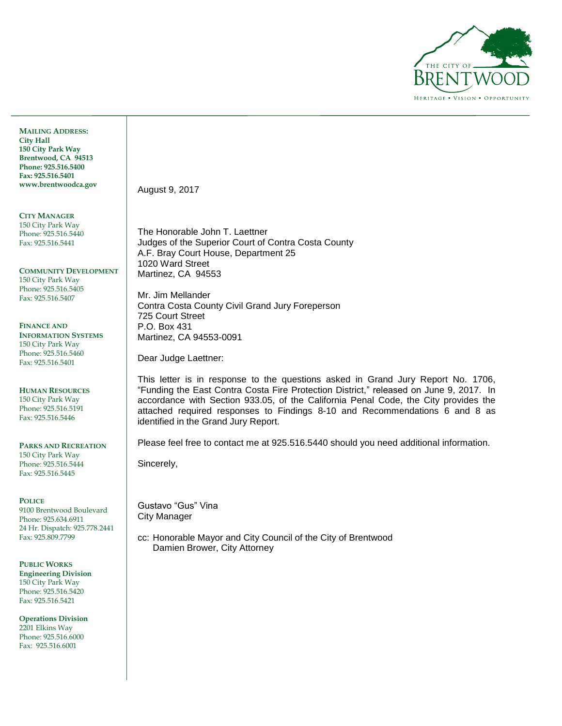

**MAILING ADDRESS: City Hall 150 City Park Way Brentwood, CA 94513 Phone: 925.516.5400 Fax: 925.516.5401 www.brentwoodca.gov**

**CITY MANAGER** 150 City Park Way Phone: 925.516.5440 Fax: 925.516.5441

**COMMUNITY DEVELOPMENT** 150 City Park Way Phone: 925.516.5405 Fax: 925.516.5407

**FINANCE AND INFORMATION SYSTEMS** 150 City Park Way Phone: 925.516.5460 Fax: 925.516.5401

**HUMAN RESOURCES** 150 City Park Way Phone: 925.516.5191 Fax: 925.516.5446

**PARKS AND RECREATION** 150 City Park Way Phone: 925.516.5444 Fax: 925.516.5445

**POLICE** 

9100 Brentwood Boulevard Phone: 925.634.6911 24 Hr. Dispatch: 925.778.2441 Fax: 925.809.7799

**PUBLIC WORKS Engineering Division** 150 City Park Way Phone: 925.516.5420 Fax: 925.516.5421

**Operations Division** 2201 Elkins Way Phone: 925.516.6000 Fax: 925.516.6001

August 9, 2017

The Honorable John T. Laettner Judges of the Superior Court of Contra Costa County A.F. Bray Court House, Department 25 1020 Ward Street Martinez, CA 94553

Mr. Jim Mellander Contra Costa County Civil Grand Jury Foreperson 725 Court Street P.O. Box 431 Martinez, CA 94553-0091

Dear Judge Laettner:

This letter is in response to the questions asked in Grand Jury Report No. 1706, "Funding the East Contra Costa Fire Protection District," released on June 9, 2017. In accordance with Section 933.05, of the California Penal Code, the City provides the attached required responses to Findings 8-10 and Recommendations 6 and 8 as identified in the Grand Jury Report.

Please feel free to contact me at 925.516.5440 should you need additional information.

Sincerely,

Gustavo "Gus" Vina City Manager

cc: Honorable Mayor and City Council of the City of Brentwood Damien Brower, City Attorney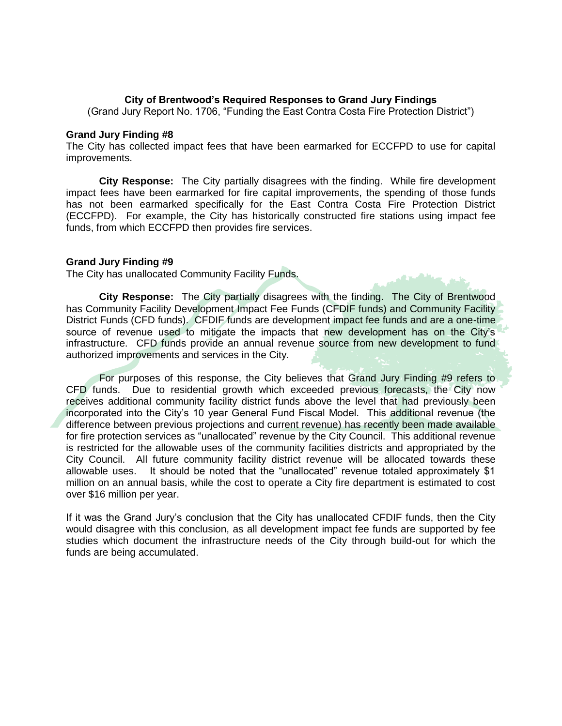## **City of Brentwood's Required Responses to Grand Jury Findings**

(Grand Jury Report No. 1706, "Funding the East Contra Costa Fire Protection District")

#### **Grand Jury Finding #8**

The City has collected impact fees that have been earmarked for ECCFPD to use for capital improvements.

**City Response:** The City partially disagrees with the finding. While fire development impact fees have been earmarked for fire capital improvements, the spending of those funds has not been earmarked specifically for the East Contra Costa Fire Protection District (ECCFPD). For example, the City has historically constructed fire stations using impact fee funds, from which ECCFPD then provides fire services.

### **Grand Jury Finding #9**

The City has unallocated Community Facility Funds.

**City Response:** The City partially disagrees with the finding. The City of Brentwood has Community Facility Development Impact Fee Funds (CFDIF funds) and Community Facility District Funds (CFD funds). CFDIF funds are development impact fee funds and are a one-time source of revenue used to mitigate the impacts that new development has on the City's infrastructure. CFD funds provide an annual revenue source from new development to fund authorized improvements and services in the City.

For purposes of this response, the City believes that Grand Jury Finding #9 refers to CFD funds. Due to residential growth which exceeded previous forecasts, the City now receives additional community facility district funds above the level that had previously been incorporated into the City's 10 year General Fund Fiscal Model. This additional revenue (the difference between previous projections and current revenue) has recently been made available for fire protection services as "unallocated" revenue by the City Council. This additional revenue is restricted for the allowable uses of the community facilities districts and appropriated by the City Council. All future community facility district revenue will be allocated towards these allowable uses. It should be noted that the "unallocated" revenue totaled approximately \$1 million on an annual basis, while the cost to operate a City fire department is estimated to cost over \$16 million per year.

If it was the Grand Jury's conclusion that the City has unallocated CFDIF funds, then the City would disagree with this conclusion, as all development impact fee funds are supported by fee studies which document the infrastructure needs of the City through build-out for which the funds are being accumulated.